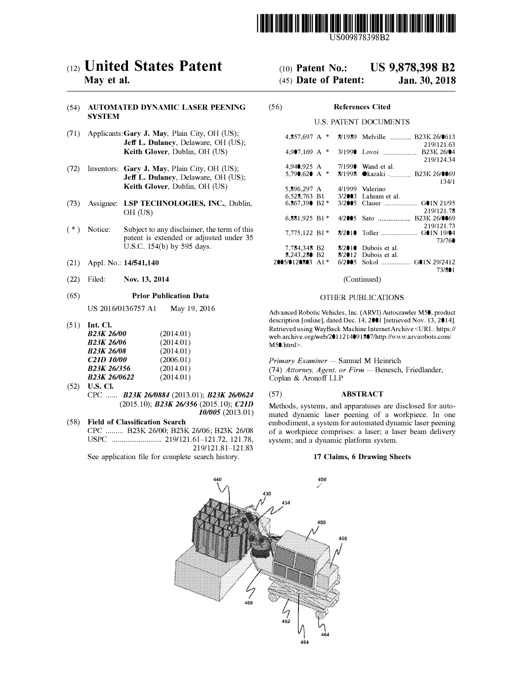

US009878398B2

# c12) **United States Patent**

## **May et al.**

#### (54) **AUTOMATED DYNAMIC LASER PEENING SYSTEM**

- (71) Applicants:Gary **J. May,** Plain City, OH (US); **Jeff L. Dulaney,** Delaware, OH (US); **Keith Glover,** Dublin, OH (US)
- (72) Inventors: **Gary J. May,** Plain City, OH (US); **Jeff L. Dulaney,** Delaware, OH (US); **Keith Glover,** Dublin, OH (US)
- (73) Assignee: **LSP TECHNOLOGIES, INC.,** Dublin, OH (US)
- (\*) Notice: Subject to any disclaimer, the term of this patent is extended or adjusted under 35 U.S.C. 154(b) by 595 days.
- (21) Appl. No.: **14/541,140**
- (22) Filed: **Nov. 13, 2014**

#### (65) **Prior Publication Data**

US 2016/0136757 Al May 19, 2016

(51) **Int. Cl.** 

| <b>B23K 26/00</b>        | (2014.01) |
|--------------------------|-----------|
| <b>B23K 26/06</b>        | (2014.01) |
| <b>B23K 26/08</b>        | (2014.01) |
| <b>C21D 10/00</b>        | (2006.01) |
| B <sub>23</sub> K 26/356 | (2014.01) |
| <b>B23K 26/0622</b>      | (2014.01) |

(52) **U.S. Cl.** CPC ...... *B23K 2610884* (2013.01); *B23K 2610624* (2015.10); *B23K 261356* (2015.10); *C21D 101005* (2013.01)

### ( 58) **Field of Classification Search** CPC ......... B23K 26/00; B23K 26/06; B23K 26/08 USPC .......................... 219/121.61-121.72, 121.78, 219/121.81-121.83 See application file for complete search history.

# (IO) **Patent No.: US 9,878,398 B2**

# (45) **Date of Patent: Jan.30,2018**

### (56) **References Cited**

#### U.S. PATENT DOCUMENTS

| 4.857.697 A               | * |          | 8/1989 Melville  B23K 26/0613 |
|---------------------------|---|----------|-------------------------------|
|                           |   |          | 219/121.63                    |
| $4.9$ <sup>07.169</sup> A | * |          | B <sub>23</sub> K 26/04       |
|                           |   |          | 219/124.34                    |
| 4,940,925 A               |   | 7/1990   | Wand et al.                   |
| 5.790.620 A               | * | 8/1998   | ●kazaki  B23K 26/0069         |
|                           |   |          | 134/1                         |
| 5,896,297 A               |   | 4/1999   | Valerino                      |
|                           |   |          |                               |
| 6,528,763 B1              |   | 3/2003   | Lahram et al.                 |
| 6.867.390 B2 *            |   | 3/2005   |                               |
|                           |   |          | 219/121.78                    |
| 6,881,925 B1*             |   | 4/2005   |                               |
|                           |   |          | 219/121.73                    |
| 7,775,122 B1*             |   |          | $G$ 01N 19/04                 |
|                           |   |          | 73/760                        |
| 7,784,348 B2              |   | 8/2010   | Dubois et al.                 |
| 8,243,280 B2              |   | 8/2012   | Dubois et al.                 |
| 2005/0120803 A1*          |   | 6/2005 - |                               |
|                           |   |          |                               |
|                           |   |          | 73/801                        |

(Continued)

#### OTHER PUBLICATIONS

Advanced Robotic Vehicles, Inc. (ARVI) Autocrawler M50, product description [online], dated Dec. 14, 2001 [retrieved Nov. 13, 2014]. Retrieved using Way Back Machine Internet Archive <URL: https:// web.archive.org/web/2011214091807 /http://www.arvirobots.com/ M50.htrnl>.

*Primary Examiner* - Samuel M Heinrich (74) Attorney, Agent, or Firm - Benesch, Friedlander, Coplan & Aronoff LLP

### (57) **ABSTRACT**

Methods, systems, and apparatuses are disclosed for automated dynamic laser peening of a workpiece. In one embodiment, a system for automated dynamic laser peening of a workpiece comprises: a laser; a laser beam delivery system; and a dynamic platform system.

#### **17 Claims, 6 Drawing Sheets**

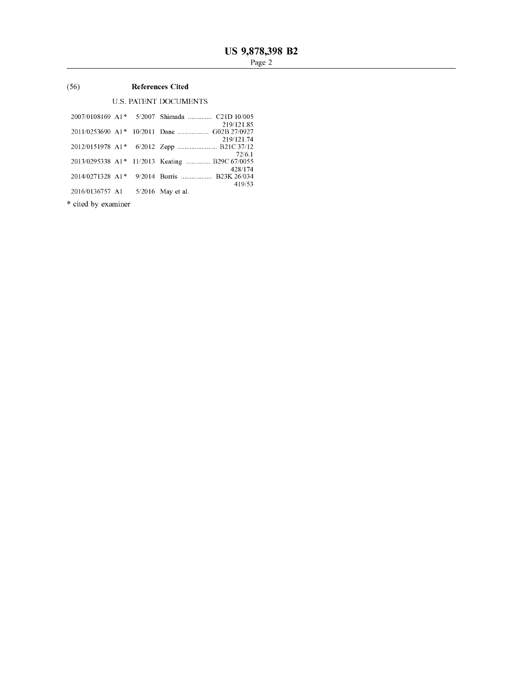#### $(56)$ **References Cited**

# **U.S. PATENT DOCUMENTS**

|                 | 2007/0108169 A1 <sup>*</sup> 5/2007 Shimada  C21D 10/005  |
|-----------------|-----------------------------------------------------------|
|                 | 219/121.85                                                |
|                 | 2011/0253690 A1* 10/2011 Dane  G02B 27/0927<br>219/121.74 |
|                 |                                                           |
|                 | 72/6.1                                                    |
|                 | 2013/0295338 A1* 11/2013 Keating  B29C 67/0055            |
|                 | 428/174<br>2014/0271328 A1* 9/2014 Burris  B23K 26/034    |
|                 | 419/53                                                    |
| 2016/0136757 A1 | $5/2016$ May et al.                                       |
|                 |                                                           |

\* cited by examiner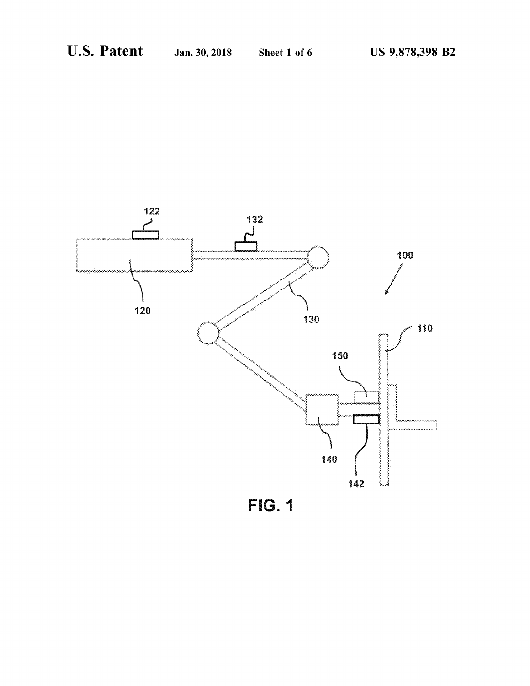

FG. 1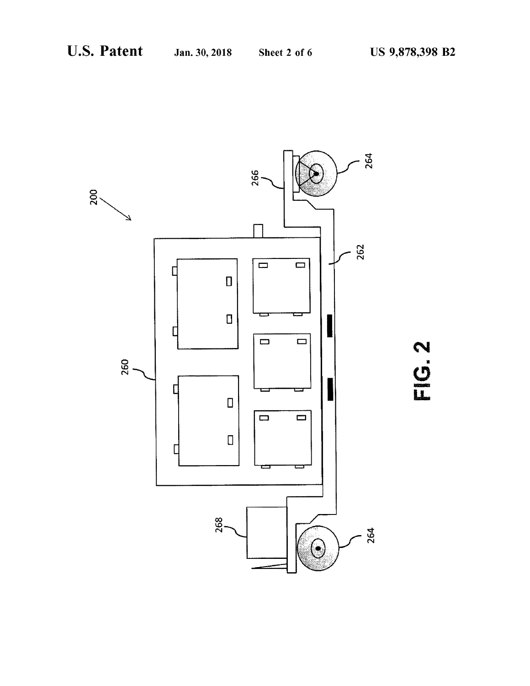

N<br>C<br>C<br>C<br>C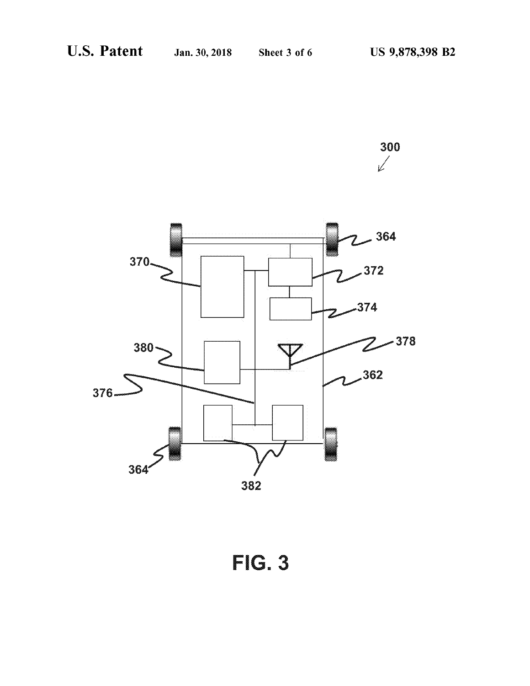



**FIG.3**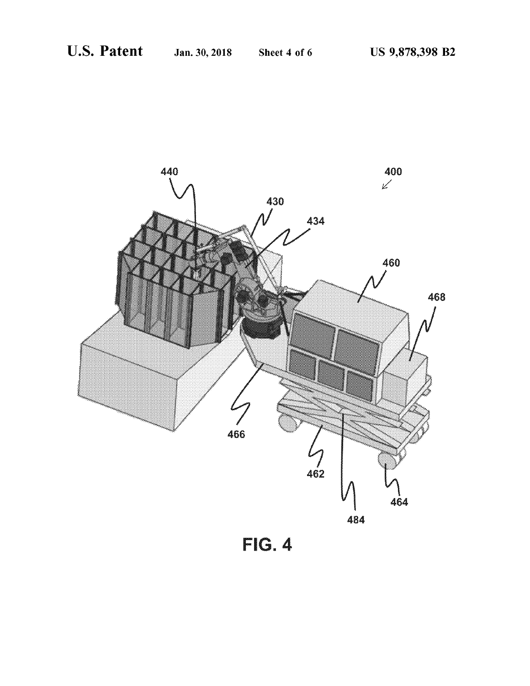

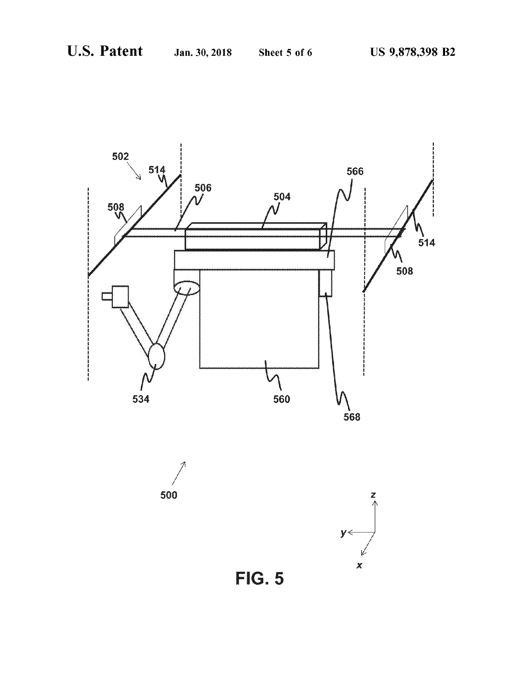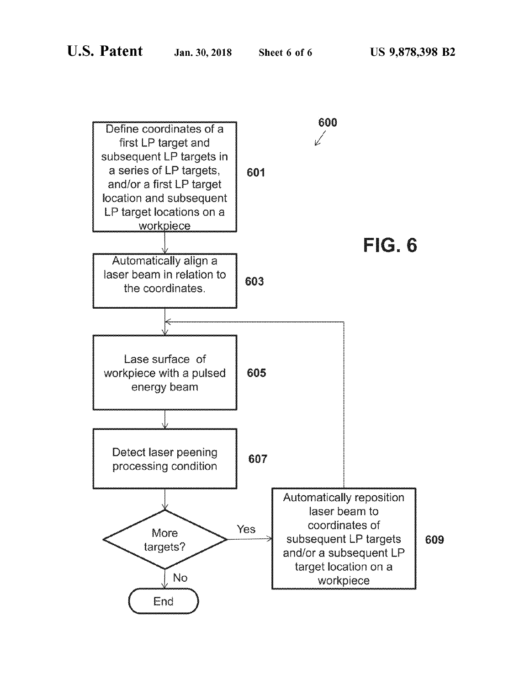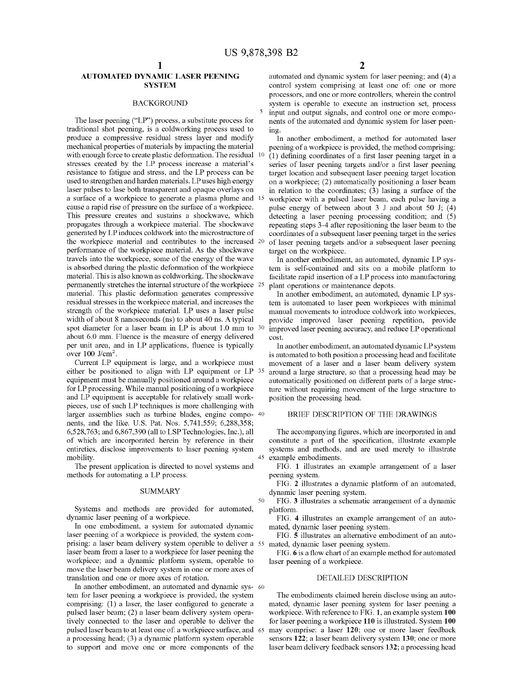50

### **AUTOMATED DYNAMIC LASER PEENING SYSTEM**

#### **BACKGROUND**

The laser peening ("LP") process, a substitute process for traditional shot peening, is a coldworking process used to produce a compressive residual stress layer and modify mechanical properties of materials by impacting the material with enough force to create plastic deformation. The residual 10 stresses created by the LP process increase a material's resistance to fatigue and stress, and the LP process can be used to strengthen and harden materials. LP uses high energy laser pulses to lase both transparent and opaque overlays on a surface of a workpiece to generate a plasma plume and 15 cause a rapid rise of pressure on the surface of a workpiece. This pressure creates and sustains a shockwave, which propagates through a workpiece material. The shockwave generated by LP induces coldwork into the microstructure of the workpiece material and contributes to the increased 20 performance of the workpiece material. As the shockwave travels into the workpiece, some of the energy of the wave is absorbed during the plastic deformation of the workpiece material. This is also known as coldworking. The shockwave permanently stretches the internal structure of the workpiece 25 material. This plastic deformation generates compressive residual stresses in the workpiece material, and increases the strength of the workpiece material. LP uses a laser pulse width of about 8 nanoseconds (ns) to about 40 ns. A typical spot diameter for a laser beam in LP is about 1.0 mm to 30 about 6.0 mm. Fluence is the measure of energy delivered per unit area, and in LP applications, fluence is typically over  $100$  J/cm<sup>2</sup>.

Current LP equipment is large, and a workpiece must either be positioned to align with LP equipment or LP 35 equipment must be manually positioned around a workpiece for LP processing. While manual positioning of a workpiece and LP equipment is acceptable for relatively small workpieces, use of such LP techniques is more challenging with larger assemblies such as turbine blades, engine compo- 40 nents, and the like. U.S. Pat. Nos. 5,741,559; 6,288,358; 6,528,763; and 6,867,390 (all to LSP Technologies, Inc.), all of which are incorporated herein by reference in their entireties, disclose improvements to laser peening system mobility.

The present application is directed to novel systems and methods for automating a LP process.

#### **SUMMARY**

Systems and methods are provided for automated, dynamic laser peening of a workpiece.

In one embodiment, a system for automated dynamic laser peening of a workpiece is provided, the system comprising: a laser beam delivery system operable to deliver a 55 mated, dynamic laser peening system. laser beam from a laser to a workpiece for laser peening the workpiece; and a dynamic platform system, operable to move the laser beam delivery system in one or more axes of translation and one or more axes of rotation.

In another embodiment, an automated and dynamic sys- 60 tem for laser peening a workpiece is provided, the system comprising: (1) a laser, the laser configured to generate a pulsed laser beam; (2) a laser beam delivery system operatively connected to the laser and operable to deliver the pulsed laser beam to at least one of: a workpiece surface, and 65 a processing head; (3) a dynamic platform system operable to support and move one or more components of the

automated and dynamic system for laser peening; and (4) a control system comprising at least one of: one or more processors, and one or more controllers, wherein the control system is operable to execute an instruction set, process input and output signals, and control one or more components of the automated and dynamic system for laser peening.

In another embodiment, a method for automated laser peening of a workpiece is provided, the method comprising: (1) defining coordinates of a first laser peening target in a series of laser peening targets and/or a first laser peening target location and subsequent laser peening target location on a workpiece; (2) automatically positioning a laser beam in relation to the coordinates; (3) lasing a surface of the workpiece with a pulsed laser beam, each pulse having a pulse energy of between about  $3$  J and about  $50$  J;  $(4)$ detecting a laser peening processing condition; and (5) repeating steps 3-4 after repositioning the laser beam to the coordinates of a subsequent laser peening target in the series of laser peening targets and/or a subsequent laser peening target on the workpiece.

In another embodiment, an automated, dynamic LP system is self-contained and sits on a mobile platform to facilitate rapid insertion of a LP process into manufacturing plant operations or maintenance depots.

In another embodiment, an automated, dynamic LP system is automated to laser peen workpieces with minimal manual movements to introduce coldwork into workpieces, provide improved laser peening repetition, provide improved laser peening accuracy, and reduce LP operational cost.

In another embodiment, an automated dynamic LP system is automated to both position a processing head and facilitate movement of a laser and a laser beam delivery system around a large structure, so that a processing head may be automatically positioned on different parts of a large structure without requiring movement of the large structure to position the processing head.

#### BRIEF DESCRIPTION OF THE DRAWINGS

The accompanying figures, which are incorporated in and constitute a part of the specification, illustrate example systems and methods, and are used merely to illustrate 45 example embodiments.

FIG. 1 illustrates an example arrangement of a laser peening system.

FIG. 2 illustrates a dynamic platform of an automated, dynamic laser peening system.

FIG. 3 illustrates a schematic arrangement of a dynamic platform.

FIG. 4 illustrates an example arrangement of an automated, dynamic laser peening system.

FIG. 5 illustrates an alternative embodiment of an auto-

FIG. 6 is a flow chart of an example method for automated laser peening of a workpiece.

### DETAILED DESCRIPTION

The embodiments claimed herein disclose using an automated, dynamic laser peening system for laser peening a workpiece. With reference to FIG. 1, an example system 100 for laser peening a workpiece 110 is illustrated. System 100 may comprise: a laser 120; one or more laser feedback sensors 122; a laser beam delivery system 130; one or more laser beam delivery feedback sensors 132; a processing head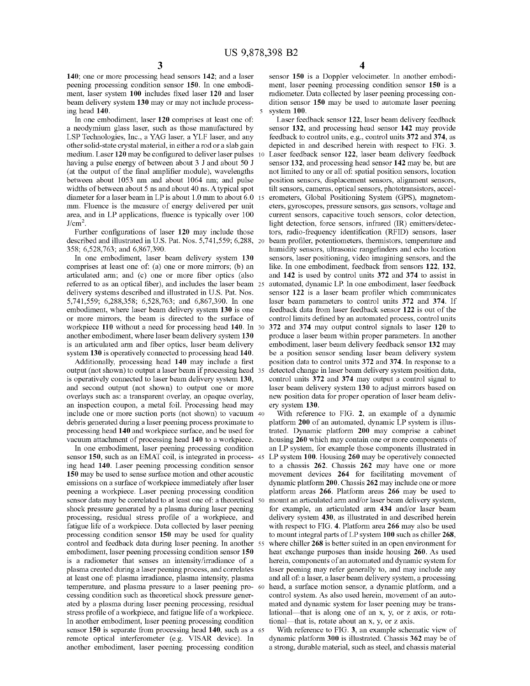140; one or more processing head sensors 142; and a laser peening processing condition sensor 150. In one embodiment, laser system 100 includes fixed laser 120 and laser beam delivery system 130 may or may not include processing head 140.

In one embodiment, laser 120 comprises at least one of: a neodymium glass laser, such as those manufactured by LSP Technologies, Inc., a YAG laser, a YLF laser, and any other solid-state crystal material, in either a rod or a slab gain medium. Laser 120 may be configured to deliver laser pulses 10 having a pulse energy of between about 3 J and about 50 J (at the output of the final amplifier module), wavelengths between about 1053 nm and about 1064 nm; and pulse widths of between about 5 ns and about 40 ns. A typical spot diameter for a laser beam in LP is about 1.0 mm to about 6.0 15 mm. Fluence is the measure of energy delivered per unit area, and in LP applications, fluence is typically over 100  $J/cm<sup>2</sup>$ .

Further configurations of laser 120 may include those described and illustrated in U.S. Pat. Nos. 5.741,559; 6.288, 20 358; 6,528,763; and 6,867,390.

In one embodiment, laser beam delivery system 130 comprises at least one of: (a) one or more mirrors; (b) an articulated arm; and (c) one or more fiber optics (also referred to as an optical fiber), and includes the laser beam 25 delivery systems described and illustrated in U.S. Pat. Nos. 5,741,559; 6,288,358; 6,528,763; and 6,867,390. In one embodiment, where laser beam delivery system 130 is one or more mirrors, the beam is directed to the surface of workpiece 110 without a need for processing head 140. In 30 another embodiment, where laser beam delivery system 130 is an articulated arm and fiber optics, laser beam delivery system 130 is operatively connected to processing head 140.

Additionally, processing head 140 may include a first output (not shown) to output a laser beam if processing head 35 is operatively connected to laser beam delivery system 130, and second output (not shown) to output one or more overlays such as: a transparent overlay, an opaque overlay, an inspection coupon, a metal foil. Processing head may include one or more suction ports (not shown) to vacuum 40 debris generated during a laser peening process proximate to processing head 140 and workpiece surface, and be used for vacuum attachment of processing head 140 to a workpiece.

In one embodiment, laser peening processing condition sensor 150, such as an EMAT coil, is integrated in process- 45 ing head 140. Laser peening processing condition sensor 150 may be used to sense surface motion and other acoustic emissions on a surface of workpiece immediately after laser peening a workpiece. Laser peening processing condition sensor data may be correlated to at least one of: a theoretical 50 shock pressure generated by a plasma during laser peening processing, residual stress profile of a workpiece, and fatigue life of a workpiece. Data collected by laser peening processing condition sensor 150 may be used for quality control and feedback data during laser peening. In another 55 embodiment, laser peening processing condition sensor 150 is a radiometer that senses an intensity/irradiance of a plasma created during a laser peening process, and correlates at least one of: plasma irradiance, plasma intensity, plasma temperature, and plasma pressure to a laser peening pro- 60 cessing condition such as theoretical shock pressure generated by a plasma during laser peening processing, residual stress profile of a workpiece, and fatigue life of a workpiece. In another embodiment, laser peening processing condition sensor 150 is separate from processing head 140, such as a 65 remote optical interferometer (e.g. VISAR device). In another embodiment, laser peening processing condition

sensor 150 is a Doppler velocimeter. In another embodiment, laser peening processing condition sensor 150 is a radiometer. Data collected by laser peening processing condition sensor 150 may be used to automate laser peening system 100.

Laser feedback sensor 122, laser beam delivery feedback sensor 132, and processing head sensor 142 may provide feedback to control units, e.g., control units 372 and 374, as depicted in and described herein with respect to FIG. 3. Laser feedback sensor 122, laser beam delivery feedback sensor 132, and processing head sensor 142 may be, but are not limited to any or all of: spatial position sensors, location position sensors, displacement sensors, alignment sensors, tilt sensors, cameras, optical sensors, phototransistors, accelerometers, Global Positioning System (GPS), magnetometers, gyroscopes, pressure sensors, gas sensors, voltage and current sensors, capacitive touch sensors, color detection, light detection, force sensors, infrared (IR) emitters/detectors, radio-frequency identification (RFID) sensors, laser beam profiler, potentiometers, thermistors, temperature and humidity sensors, ultrasonic rangefinders and echo location sensors, laser positioning, video imagining sensors, and the like. In one embodiment, feedback from sensors 122, 132, and 142 is used by control units 372 and 374 to assist in automated, dynamic LP. In one embodiment, laser feedback sensor 122 is a laser beam profiler which communicates laser beam parameters to control units 372 and 374. If feedback data from laser feedback sensor 122 is out of the control limits defined by an automated process, control units 372 and 374 may output control signals to laser 120 to produce a laser beam within proper parameters. In another embodiment, laser beam delivery feedback sensor 132 may be a position sensor sending laser beam delivery system position data to control units 372 and 374. In response to a detected change in laser beam delivery system position data, control units 372 and 374 may output a control signal to laser beam delivery system 130 to adjust mirrors based on new position data for proper operation of laser beam delivery system 130.

With reference to FIG. 2, an example of a dynamic platform 200 of an automated, dynamic LP system is illustrated. Dynamic platform 200 may comprise a cabinet housing 260 which may contain one or more components of an LP system, for example those components illustrated in LP system 100. Housing 260 may be operatively connected to a chassis 262. Chassis 262 may have one or more movement devices 264 for facilitating movement of dynamic platform 200. Chassis 262 may include one or more platform areas 266. Platform areas 266 may be used to mount an articulated arm and/or laser beam delivery system, for example, an articulated arm 434 and/or laser beam delivery system 430, as illustrated in and described herein with respect to FIG. 4. Platform area 266 may also be used to mount integral parts of LP system 100 such as chiller 268, where chiller 268 is better suited in an open environment for heat exchange purposes than inside housing 260. As used herein, components of an automated and dynamic system for laser peening may refer generally to, and may include any and all of: a laser, a laser beam delivery system, a processing head, a surface motion sensor, a dynamic platform, and a control system. As also used herein, movement of an automated and dynamic system for laser peening may be translational—that is along one of an x, y, or z axis, or rotational—that is, rotate about an x, y, or z axis.

With reference to FIG. 3, an example schematic view of dynamic platform 300 is illustrated. Chassis 362 may be of a strong, durable material, such as steel, and chassis material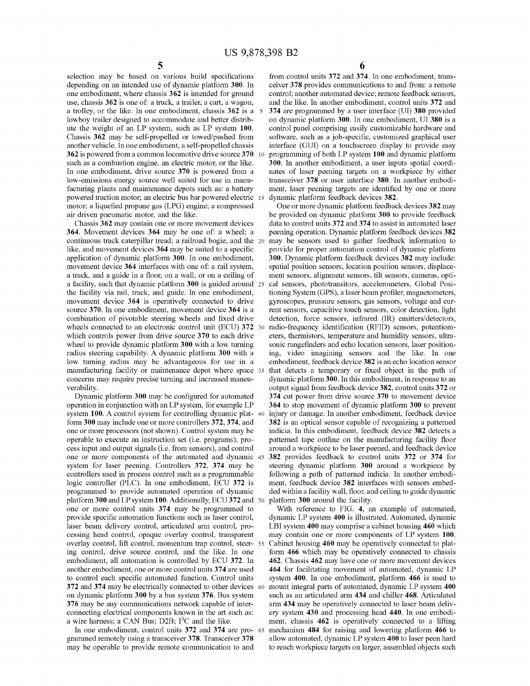selection may be based on various build specifications depending on an intended use of dynamic platform 300. In one embodiment, where chassis 362 is intended for ground use, chassis 362 is one of: a truck, a trailer, a cart, a wagon, a trolley, or the like. In one embodiment, chassis 362 is a 5 lowboy trailer designed to accommodate and better distribute the weight of an LP system, such as LP system 100. Chassis 362 may be self-propelled or towed/pushed from another vehicle. In one embodiment, a self-propelled chassis 362 is powered from a common locomotive drive source 370 such as a combustion engine, an electric motor, or the like. In one embodiment, drive source 370 is powered from a low-emissions energy source well suited for use in manufacturing plants and maintenance depots such as: a battery powered traction motor; an electric bus bar powered electric 15 motor; a liquefied propane gas (LPG) engine; a compressed air driven pneumatic motor, and the like.

Chassis 362 may contain one or more movement devices 364. Movement devices 364 may be one of: a wheel; a continuous track caterpillar tread; a railroad bogie, and the 20 like, and movement devices 364 may be suited to a specific application of dynamic platform 300. In one embodiment, movement device 364 interfaces with one of: a rail system, a track, and a guide in a floor, on a wall, or on a ceiling of a facility, such that dynamic platform 300 is guided around 25 the facility via rail, track, and guide. In one embodiment, movement device 364 is operatively connected to drive source 370. In one embodiment, movement device 364 is a combination of pivotable steering wheels and fixed drive wheels connected to an electronic control unit (ECU) 372 30 which controls power from drive source 370 to each drive wheel to provide dynamic platform 300 with a low turning radius steering capability. A dynamic platform 300 with a low turning radius may be advantageous for use in a manufacturing facility or maintenance depot where space 35 concerns may require precise turning and increased maneuverability.

Dynamic platform 300 may be configured for automated operation in conjunction with an LP system, for example LP system 100. A control system for controlling dynamic plat-40 form 300 may include one or more controllers 372, 374, and one or more processors (not shown). Control system may be operable to execute an instruction set (i.e. programs), process input and output signals (i.e. from sensors), and control one or more components of the automated and dynamic 45 system for laser peening. Controllers 372, 374 may be controllers used in process control such as a programmable logic controller (PLC). In one embodiment, ECU 372 is programmed to provide automated operation of dynamic platform 300 and LP system 100. Additionally, ECU 372 and 50 one or more control units 374 may be programmed to provide specific automation functions such as laser control, laser beam delivery control, articulated arm control, processing head control, opaque overlay control, transparent overlay control, lift control, momentum trap control, steer- 55 ing control, drive source control, and the like. In one embodiment, all automation is controlled by ECU 372. In another embodiment, one or more control units 374 are used to control each specific automated function. Control units 372 and 374 may be electrically connected to other devices 60 on dynamic platform 300 by a bus system 376. Bus system 376 may be any communications network capable of interconnecting electrical components known in the art such as: a wire harness; a CAN Bus; D2B; I<sup>2</sup>C and the like.

In one embodiment, control units 372 and 374 are pro- 65 grammed remotely using a transceiver 378. Transceiver 378 may be operable to provide remote communication to and

6

from control units 372 and 374. In one embodiment, transceiver 378 provides communications to and from: a remote control; another automated device; remote feedback sensors, and the like. In another embodiment, control units 372 and 374 are programmed by a user interface (UI) 380 provided on dynamic platform 300. In one embodiment, UI 380 is a control panel comprising easily customizable hardware and software, such as a job-specific, customized graphical user interface (GUI) on a touchscreen display to provide easy programming of both LP system 100 and dynamic platform 300. In another embodiment, a user inputs spatial coordinates of laser peening targets on a workpiece by either transceiver 378 or user interface 380. In another embodiment, laser peening targets are identified by one or more dynamic platform feedback devices 382.

One or more dynamic platform feedback devices 382 may be provided on dynamic platform 300 to provide feedback data to control units 372 and 374 to assist in automated laser peening operation. Dynamic platform feedback devices 382 may be sensors used to gather feedback information to provide for proper automation control of dynamic platform 300. Dynamic platform feedback devices 382 may include: spatial position sensors, location position sensors, displacement sensors, alignment sensors, tilt sensors, cameras, optical sensors, phototransitors, accelerometers, Global Positioning System (GPS), a laser beam profiler, magnetometers, gyroscopes, pressure sensors, gas sensors, voltage and current sensors, capacitive touch sensors, color detection, light detection, force sensors, infrared (IR) emitters/detectors, radio-frequency identification (RFID) sensors, potentiometers, thermistors, temperature and humidity sensors, ultrasonic rangefinders and echo location sensors, laser positioning, video imagining sensors and the like. In one embodiment, feedback device 382 is an echo location sensor that detects a temporary or fixed object in the path of dynamic platform 300. In this embodiment, in response to an output signal from feedback device 382, control units 372 or 374 cut power from drive source 370 to movement device 364 to stop movement of dynamic platform 300 to prevent injury or damage. In another embodiment, feedback device 382 is an optical sensor capable of recognizing a patterned indicia. In this embodiment, feedback device 382 detects a patterned tape outline on the manufacturing facility floor around a workpiece to be laser peened, and feedback device 382 provides feedback to control units 372 or 374 for steering dynamic platform 300 around a workpiece by following a path of patterned indicia. In another embodiment, feedback device 382 interfaces with sensors embedded within a facility wall, floor, and ceiling to guide dynamic platform 300 around the facility.

With reference to FIG. 4, an example of automated, dynamic LP system 400 is illustrated. Automated, dynamic LBI system 400 may comprise a cabinet housing 460 which may contain one or more components of LP system 100. Cabinet housing 460 may be operatively connected to platform 466 which may be operatively connected to chassis 462. Chassis 462 may have one or more movement devices 464 for facilitating movement of automated, dynamic LP system 400. In one embodiment, platform 466 is used to mount integral parts of automated, dynamic LP system 400 such as an articulated arm 434 and chiller 468. Articulated arm 434 may be operatively connected to laser beam delivery system 430 and processing head 440. In one embodiment, chassis 462 is operatively connected to a lifting mechanism 484 for raising and lowering platform 466 to allow automated, dynamic LP system 400 to laser peen hard to reach workpiece targets on larger, assembled objects such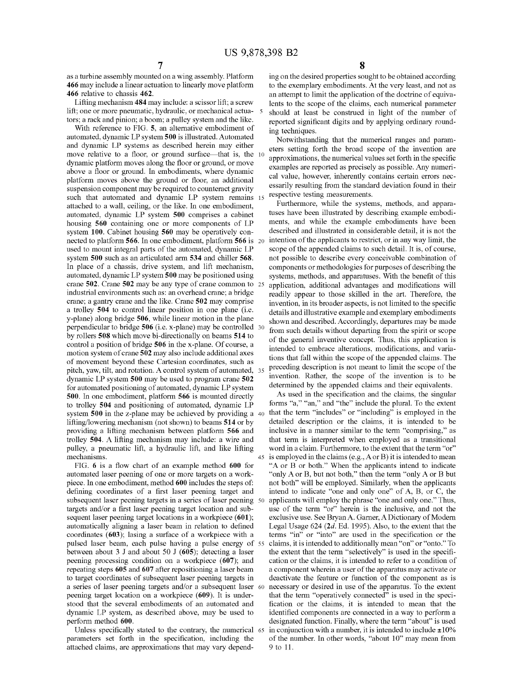as a turbine assembly mounted on a wing assembly. Platform 466 may include a linear actuation to linearly move platform 466 relative to chassis 462.

Lifting mechanism 484 may include: a scissor lift; a screw lift; one or more pneumatic, hydraulic, or mechanical actua-5 tors; a rack and pinion; a boom; a pulley system and the like.

With reference to FIG. 5, an alternative embodiment of automated, dynamic LP system 500 is illustrated. Automated and dynamic LP systems as described herein may either move relative to a floor, or ground surface—that is, the 10 dynamic platform moves along the floor or ground, or move above a floor or ground. In embodiments, where dynamic platform moves above the ground or floor, an additional suspension component may be required to counteract gravity such that automated and dynamic LP system remains 15 attached to a wall, ceiling, or the like. In one embodiment, automated, dynamic LP system 500 comprises a cabinet housing 560 containing one or more components of LP system 100. Cabinet housing 560 may be operatively connected to platform 566. In one embodiment, platform 566 is 20 used to mount integral parts of the automated, dynamic LP system 500 such as an articulated arm 534 and chiller 568. In place of a chassis, drive system, and lift mechanism, automated, dynamic LP system 500 may be positioned using crane 502. Crane 502 may be any type of crane common to 25 industrial environments such as: an overhead crane; a bridge crane; a gantry crane and the like. Crane 502 may comprise a trolley 504 to control linear position in one plane (i.e. y-plane) along bridge 506, while linear motion in the plane perpendicular to bridge 506 (i.e. x-plane) may be controlled 30 by rollers 508 which move bi-directionally on beams 514 to control a position of bridge 506 in the x-plane. Of course, a motion system of crane 502 may also include additional axes of movement beyond these Cartesian coordinates, such as pitch, yaw, tilt, and rotation. A control system of automated, 35 dynamic LP system 500 may be used to program crane 502 for automated positioning of automated, dynamic LP system 500. In one embodiment, platform 566 is mounted directly to trolley 504 and positioning of automated, dynamic LP system 500 in the z-plane may be achieved by providing a 40 lifting/lowering mechanism (not shown) to beams 514 or by providing a lifting mechanism between platform 566 and trolley 504. A lifting mechanism may include: a wire and pulley, a pneumatic lift, a hydraulic lift, and like lifting mechanisms. 45

FIG. 6 is a flow chart of an example method 600 for automated laser peening of one or more targets on a workpiece. In one embodiment, method 600 includes the steps of: defining coordinates of a first laser peening target and subsequent laser peening targets in a series of laser peening 50 targets and/or a first laser peening target location and subsequent laser peening target locations in a workpiece (601); automatically aligning a laser beam in relation to defined coordinates  $(603)$ ; lasing a surface of a workpiece with a pulsed laser beam, each pulse having a pulse energy of 55 between about 3 J and about 50 J (605); detecting a laser peening processing condition on a workpiece (607); and repeating steps 605 and 607 after repositioning a laser beam to target coordinates of subsequent laser peening targets in a series of laser peening targets and/or a subsequent laser 60 peening target location on a workpiece (609). It is understood that the several embodiments of an automated and dynamic LP system, as described above, may be used to perform method 600.

Unless specifically stated to the contrary, the numerical 65 parameters set forth in the specification, including the attached claims, are approximations that may vary depend-

ing on the desired properties sought to be obtained according to the exemplary embodiments. At the very least, and not as an attempt to limit the application of the doctrine of equivalents to the scope of the claims, each numerical parameter should at least be construed in light of the number of reported significant digits and by applying ordinary rounding techniques.

Notwithstanding that the numerical ranges and parameters setting forth the broad scope of the invention are approximations, the numerical values set forth in the specific examples are reported as precisely as possible. Any numerical value, however, inherently contains certain errors necessarily resulting from the standard deviation found in their respective testing measurements.

Furthermore, while the systems, methods, and apparatuses have been illustrated by describing example embodiments, and while the example embodiments have been described and illustrated in considerable detail, it is not the intention of the applicants to restrict, or in any way limit, the scope of the appended claims to such detail. It is, of course, not possible to describe every conceivable combination of components or methodologies for purposes of describing the systems, methods, and apparatuses. With the benefit of this application, additional advantages and modifications will readily appear to those skilled in the art. Therefore, the invention, in its broader aspects, is not limited to the specific details and illustrative example and exemplary embodiments shown and described. Accordingly, departures may be made from such details without departing from the spirit or scope of the general inventive concept. Thus, this application is intended to embrace alterations, modifications, and variations that fall within the scope of the appended claims. The preceding description is not meant to limit the scope of the invention. Rather, the scope of the invention is to be determined by the appended claims and their equivalents.

As used in the specification and the claims, the singular forms "a," "an," and "the" include the plural. To the extent that the term "includes" or "including" is employed in the detailed description or the claims, it is intended to be inclusive in a manner similar to the term "comprising," as that term is interpreted when employed as a transitional word in a claim. Furthermore, to the extent that the term "or" is employed in the claims (e.g.,  $A$  or  $B$ ) it is intended to mean "A or B or both." When the applicants intend to indicate "only A or B, but not both," then the term "only A or B but" not both" will be employed. Similarly, when the applicants intend to indicate "one and only one" of A, B, or C, the applicants will employ the phrase "one and only one." Thus, use of the term "or" herein is the inclusive, and not the exclusive use. See Bryan A. Garner, A Dictionary of Modern Legal Usage  $624$  ( $2d$ . Ed. 1995). Also, to the extent that the terms "in" or "into" are used in the specification or the claims, it is intended to additionally mean "on" or "onto." To the extent that the term "selectively" is used in the specification or the claims, it is intended to refer to a condition of a component wherein a user of the apparatus may activate or deactivate the feature or function of the component as is necessary or desired in use of the apparatus. To the extent that the term "operatively connected" is used in the specification or the claims, it is intended to mean that the identified components are connected in a way to perform a designated function. Finally, where the term "about" is used in conjunction with a number, it is intended to include  $\pm 10\%$ of the number. In other words, "about 10" may mean from 9 to 11.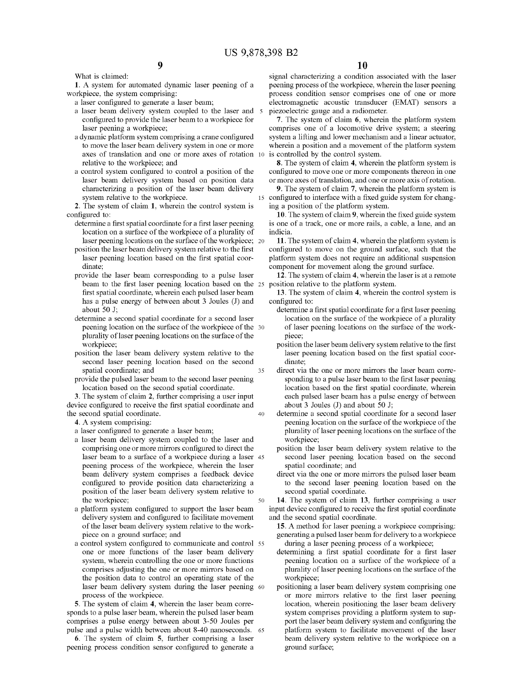1. A system for automated dynamic laser peening of a workpiece, the system comprising:

9

- a laser configured to generate a laser beam;
- a laser beam delivery system coupled to the laser and 5 configured to provide the laser beam to a workpiece for laser peening a workpiece;
- a dynamic platform system comprising a crane configured to move the laser beam delivery system in one or more axes of translation and one or more axes of rotation 10 relative to the workpiece; and
- a control system configured to control a position of the laser beam delivery system based on position data characterizing a position of the laser beam delivery system relative to the workpiece.

2. The system of claim 1, wherein the control system is configured to:

- determine a first spatial coordinate for a first laser peening location on a surface of the workpiece of a plurality of laser peening locations on the surface of the workpiece: 20
- position the laser beam delivery system relative to the first laser peening location based on the first spatial coordinate:
- provide the laser beam corresponding to a pulse laser beam to the first laser peening location based on the 25 position relative to the platform system. first spatial coordinate, wherein each pulsed laser beam has a pulse energy of between about 3 Joules (J) and about  $50$  J:
- determine a second spatial coordinate for a second laser peening location on the surface of the workpiece of the 30 plurality of laser peening locations on the surface of the workniece:
- position the laser beam delivery system relative to the second laser peening location based on the second spatial coordinate; and 35
- provide the pulsed laser beam to the second laser peening location based on the second spatial coordinate.

3. The system of claim 2, further comprising a user input device configured to receive the first spatial coordinate and the second spatial coordinate.  $40$ 

4. A system comprising:

- a laser configured to generate a laser beam;
- a laser beam delivery system coupled to the laser and comprising one or more mirrors configured to direct the laser beam to a surface of a workpiece during a laser 45 peening process of the workpiece, wherein the laser beam delivery system comprises a feedback device configured to provide position data characterizing a position of the laser beam delivery system relative to the workpiece; 50
- a platform system configured to support the laser beam delivery system and configured to facilitate movement of the laser beam delivery system relative to the workpiece on a ground surface; and
- a control system configured to communicate and control 55 one or more functions of the laser beam delivery system, wherein controlling the one or more functions comprises adjusting the one or more mirrors based on the position data to control an operating state of the laser beam delivery system during the laser peening 60 process of the workpiece.

5. The system of claim 4, wherein the laser beam corresponds to a pulse laser beam, wherein the pulsed laser beam comprises a pulse energy between about 3-50 Joules per pulse and a pulse width between about 8-40 nanoseconds. 65

6. The system of claim 5, further comprising a laser peening process condition sensor configured to generate a

signal characterizing a condition associated with the laser peening process of the workpiece, wherein the laser peening process condition sensor comprises one of one or more electromagnetic acoustic transducer (EMAT) sensors a piezoelectric gauge and a radiometer.

7. The system of claim 6, wherein the platform system comprises one of a locomotive drive system; a steering system a lifting and lower mechanism and a linear actuator, wherein a position and a movement of the platform system is controlled by the control system.

8. The system of claim 4, wherein the platform system is configured to move one or more components thereon in one or more axes of translation, and one or more axis of rotation.

9. The system of claim 7, wherein the platform system is configured to interface with a fixed guide system for changing a position of the platform system.

10. The system of claim 9, wherein the fixed guide system is one of a track, one or more rails, a cable, a lane, and an indicia

11. The system of claim 4, wherein the platform system is configured to move on the ground surface, such that the platform system does not require an additional suspension component for movement along the ground surface.

- 12. The system of claim 4, wherein the laser is at a remote
- 13. The system of claim 4, wherein the control system is configured to:
	- determine a first spatial coordinate for a first laser peening location on the surface of the workpiece of a plurality of laser peening locations on the surface of the workpiece;
	- position the laser beam delivery system relative to the first laser peening location based on the first spatial coordinate:
	- direct via the one or more mirrors the laser beam corresponding to a pulse laser beam to the first laser peening location based on the first spatial coordinate, wherein each pulsed laser beam has a pulse energy of between about 3 Joules (J) and about 50 J;
	- determine a second spatial coordinate for a second laser peening location on the surface of the workpiece of the plurality of laser peening locations on the surface of the workpiece;
	- position the laser beam delivery system relative to the second laser peening location based on the second spatial coordinate; and
	- direct via the one or more mirrors the pulsed laser beam to the second laser peening location based on the second spatial coordinate.

14. The system of claim 13, further comprising a user input device configured to receive the first spatial coordinate and the second spatial coordinate.

15. A method for laser peening a workpiece comprising: generating a pulsed laser beam for delivery to a workpiece during a laser peening process of a workpiece;

- determining a first spatial coordinate for a first laser peening location on a surface of the workpiece of a plurality of laser peening locations on the surface of the workpiece;
- positioning a laser beam delivery system comprising one or more mirrors relative to the first laser peening location, wherein positioning the laser beam delivery system comprises providing a platform system to support the laser beam delivery system and configuring the platform system to facilitate movement of the laser beam delivery system relative to the workpiece on a ground surface;